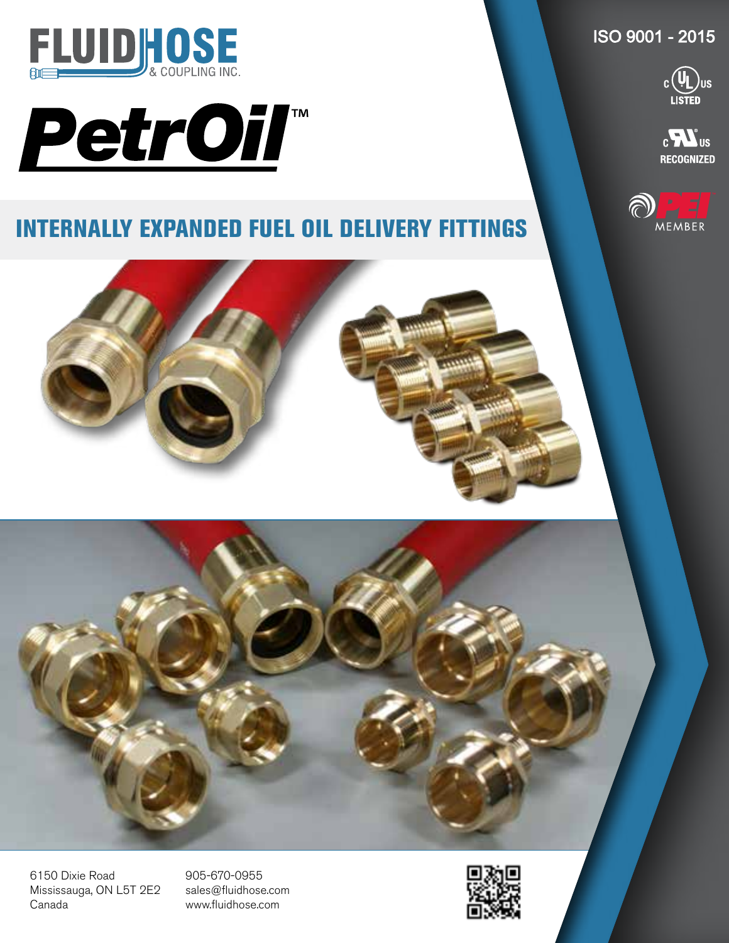

## PetrOil

## INTERNALLY EXPANDED FUEL OIL DELIVERY FITTINGS

ISO 9001 - 2015



 $_{c}$  $\blacksquare$ **RECOGNIZED** 







905-670-0955 sales@fluidhose.com www.fluidhose.com